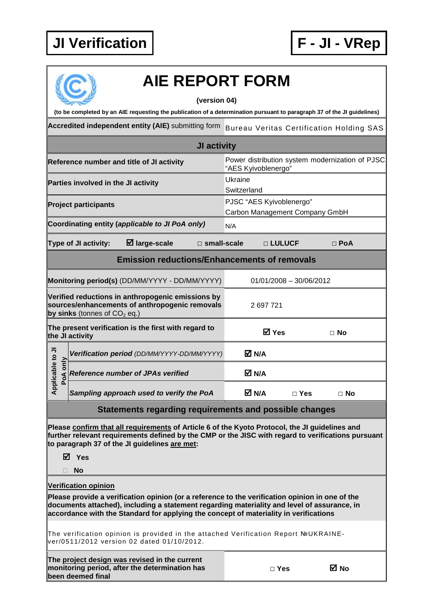## **JI Verification F - JI - VRep**



## **AIE REPORT FORM**

**(version 04)** 

**(to be completed by an AIE requesting the publication of a determination pursuant to paragraph 37 of the JI guidelines)** 

Accredited independent entity (AIE) submitting form Bureau Veritas Certification Holding SAS

| JI activity                                                                                                                           |  |                                             |                                                                        |                                                            |            |           |  |  |
|---------------------------------------------------------------------------------------------------------------------------------------|--|---------------------------------------------|------------------------------------------------------------------------|------------------------------------------------------------|------------|-----------|--|--|
| Reference number and title of JI activity                                                                                             |  |                                             | Power distribution system modernization of PJSC<br>"AES Kyivoblenergo" |                                                            |            |           |  |  |
| Parties involved in the JI activity                                                                                                   |  |                                             |                                                                        | Ukraine<br>Switzerland                                     |            |           |  |  |
| <b>Project participants</b>                                                                                                           |  |                                             |                                                                        | PJSC "AES Kyivoblenergo"<br>Carbon Management Company GmbH |            |           |  |  |
| Coordinating entity (applicable to JI PoA only)                                                                                       |  |                                             |                                                                        | N/A                                                        |            |           |  |  |
| $\boxtimes$ large-scale<br><b>Type of JI activity:</b><br>$\square$ small-scale                                                       |  |                                             |                                                                        | □ LULUCF                                                   | $\Box$ PoA |           |  |  |
| <b>Emission reductions/Enhancements of removals</b>                                                                                   |  |                                             |                                                                        |                                                            |            |           |  |  |
| Monitoring period(s) (DD/MM/YYYY - DD/MM/YYYY)                                                                                        |  |                                             |                                                                        | $01/01/2008 - 30/06/2012$                                  |            |           |  |  |
| Verified reductions in anthropogenic emissions by<br>sources/enhancements of anthropogenic removals<br>by sinks (tonnes of $CO2$ eq.) |  |                                             | 2697721                                                                |                                                            |            |           |  |  |
| The present verification is the first with regard to<br>the JI activity                                                               |  |                                             |                                                                        | <b>⊠</b> Yes                                               | $\Box$ No  |           |  |  |
| Applicable to JI<br>PoA only                                                                                                          |  | Verification period (DD/MM/YYYY-DD/MM/YYYY) |                                                                        | M N/A                                                      |            |           |  |  |
|                                                                                                                                       |  | <b>Reference number of JPAs verified</b>    |                                                                        | M N/A                                                      |            |           |  |  |
|                                                                                                                                       |  | Sampling approach used to verify the PoA    |                                                                        | M N/A                                                      | $\Box$ Yes | $\Box$ No |  |  |
| Ctotamante regarding requiremente and neecible shape                                                                                  |  |                                             |                                                                        |                                                            |            |           |  |  |

**Statements regarding requirements and possible changes** 

**Please confirm that all requirements of Article 6 of the Kyoto Protocol, the JI guidelines and further relevant requirements defined by the CMP or the JISC with regard to verifications pursuant to paragraph 37 of the JI guidelines are met:** 

**Yes** 

**No** 

**Verification opinion**

**Please provide a verification opinion (or a reference to the verification opinion in one of the documents attached), including a statement regarding materiality and level of assurance, in accordance with the Standard for applying the concept of materiality in verifications** 

The verification opinion is provided in the attached Verification Report №UKRAINEver/0511/2012 version 02 dated 01/10/2012.

|  |                   |  | The project design was revised in the current  |
|--|-------------------|--|------------------------------------------------|
|  |                   |  | monitoring period, after the determination has |
|  | been deemed final |  |                                                |